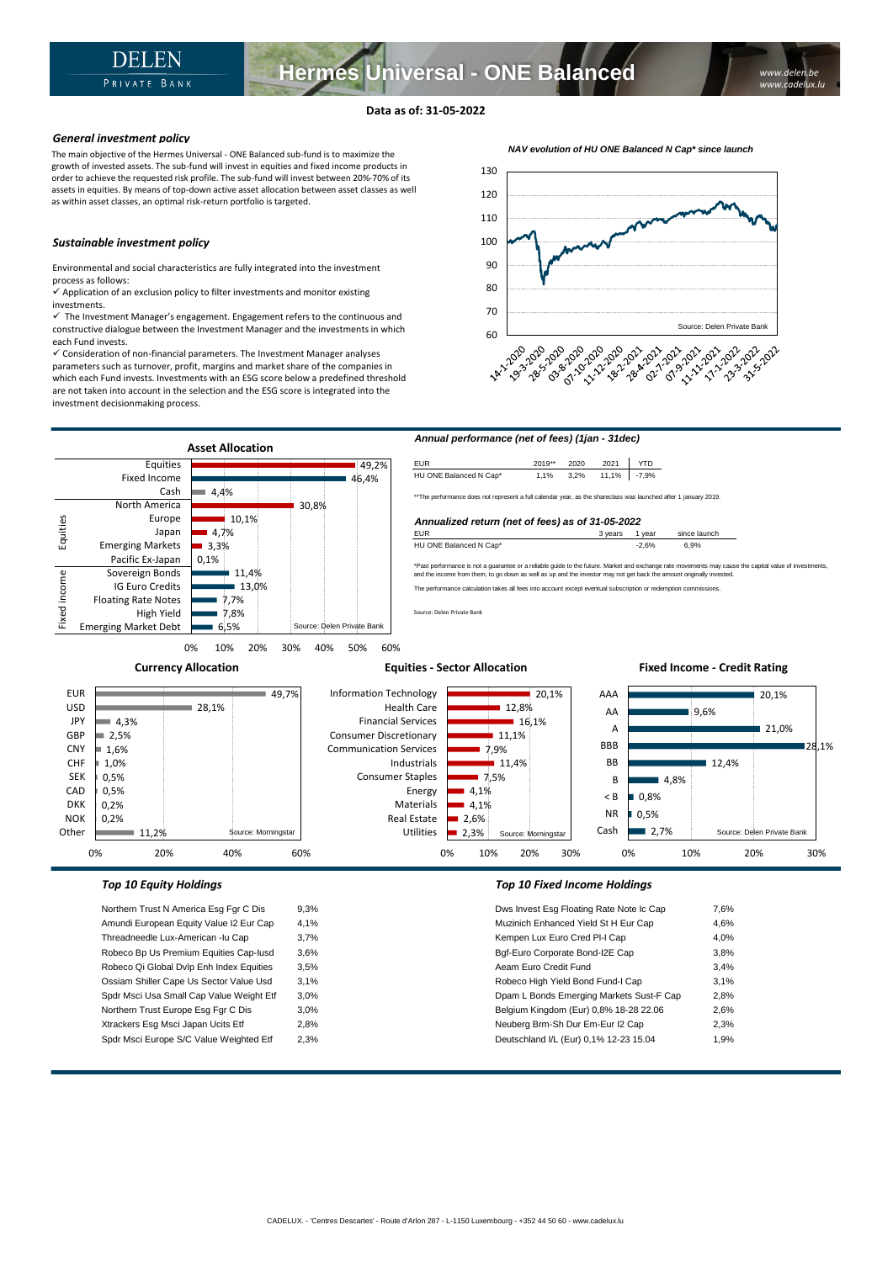**Hermes Universal - ONE Balanced**

## **Data as of: 31-05-2022**

### *General investment policy*

The main objective of the Hermes Universal - ONE Balanced sub-fund is to maximize the growth of invested assets. The sub-fund will invest in equities and fixed income products in order to achieve the requested risk profile. The sub-fund will invest between 20%-70% of its assets in equities. By means of top-down active asset allocation between asset classes as well as within asset classes, an optimal risk-return portfolio is targeted.

### *Sustainable investment policy*

Environmental and social characteristics are fully integrated into the investment process as follows:

 $\checkmark$  Application of an exclusion policy to filter investments and monitor existing investments.

 $\checkmark$  The Investment Manager's engagement. Engagement refers to the continuous and constructive dialogue between the Investment Manager and the investments in which each Fund invests.

✓ Consideration of non-financial parameters. The Investment Manager analyses parameters such as turnover, profit, margins and market share of the companies in which each Fund invests. Investments with an ESG score below a predefined threshold are not taken into account in the selection and the ESG score is integrated into the investment decisionmaking process.





Robeco Bp Us Premium Equities Cap-Iusd 3,6% Robeco Qi Global Dvlp Enh Index Equities 3,5% Ossiam Shiller Cape Us Sector Value Usd 3,1% Spdr Msci Usa Small Cap Value Weight Etf 3,0% Northern Trust Europe Esg Fgr C Dis 3,0% Xtrackers Esg Msci Japan Ucits Etf 2,8% Spdr Msci Europe S/C Value Weighted Etf 2,3%

| Dws Invest Esg Floating Rate Note Ic Cap | 7,6% |
|------------------------------------------|------|
| Muzinich Enhanced Yield St H Eur Cap     | 4.6% |
| Kempen Lux Euro Cred PI-I Cap            | 4.0% |
| Bqf-Euro Corporate Bond-I2E Cap          | 3.8% |
| Aeam Euro Credit Fund                    | 3.4% |
| Robeco High Yield Bond Fund-I Cap        | 3.1% |
| Dpam L Bonds Emerging Markets Sust-F Cap | 2,8% |
| Belgium Kingdom (Eur) 0,8% 18-28 22.06   | 2,6% |
| Neuberg Brm-Sh Dur Em-Eur I2 Cap         | 2.3% |
| Deutschland I/L (Eur) 0,1% 12-23 15.04   | 1,9% |
|                                          |      |